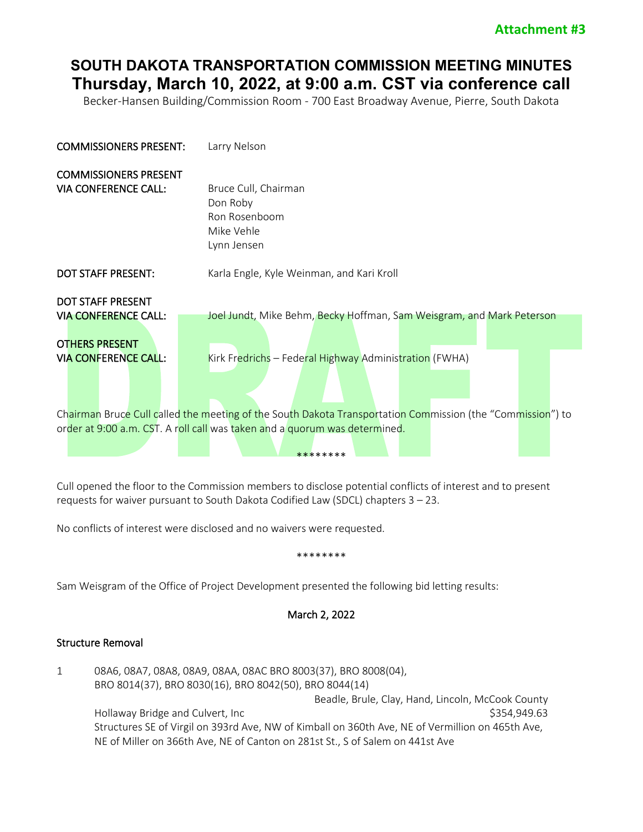# **SOUTH DAKOTA TRANSPORTATION COMMISSION MEETING MINUTES Thursday, March 10, 2022, at 9:00 a.m. CST via conference call**

Becker-Hansen Building/Commission Room - 700 East Broadway Avenue, Pierre, South Dakota

| <b>COMMISSIONERS PRESENT:</b>                                                                                   | Larry Nelson                                                                                                                                                                             |
|-----------------------------------------------------------------------------------------------------------------|------------------------------------------------------------------------------------------------------------------------------------------------------------------------------------------|
| <b>COMMISSIONERS PRESENT</b><br><b>VIA CONFERENCE CALL:</b>                                                     | Bruce Cull, Chairman<br>Don Roby<br>Ron Rosenboom<br>Mike Vehle<br>Lynn Jensen                                                                                                           |
| <b>DOT STAFF PRESENT:</b>                                                                                       | Karla Engle, Kyle Weinman, and Kari Kroll                                                                                                                                                |
| <b>DOT STAFF PRESENT</b><br><b>VIA CONFERENCE CALL:</b><br><b>OTHERS PRESENT</b><br><b>VIA CONFERENCE CALL:</b> | Joel Jundt, Mike Behm, Becky Hoffman, Sam Weisgram, and Mark Peterson<br>Kirk Fredrichs - Federal Highway Administration (FWHA)                                                          |
|                                                                                                                 | Chairman Bruce Cull called the meeting of the South Dakota Transportation Commission (the "Commission") to<br>order at 9:00 a.m. CST. A roll call was taken and a quorum was determined. |

Cull opened the floor to the Commission members to disclose potential conflicts of interest and to present requests for waiver pursuant to South Dakota Codified Law (SDCL) chapters 3 – 23.

No conflicts of interest were disclosed and no waivers were requested.

#### \*\*\*\*\*\*\*\*

\*\*\*\*\*\*\*\*

Sam Weisgram of the Office of Project Development presented the following bid letting results:

## March 2, 2022

### Structure Removal

1 08A6, 08A7, 08A8, 08A9, 08AA, 08AC BRO 8003(37), BRO 8008(04), BRO 8014(37), BRO 8030(16), BRO 8042(50), BRO 8044(14) Beadle, Brule, Clay, Hand, Lincoln, McCook County Hollaway Bridge and Culvert, Inc  $$354,949.63$ Structures SE of Virgil on 393rd Ave, NW of Kimball on 360th Ave, NE of Vermillion on 465th Ave, NE of Miller on 366th Ave, NE of Canton on 281st St., S of Salem on 441st Ave